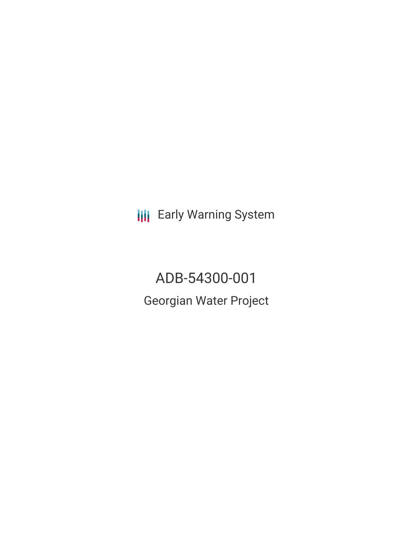**III** Early Warning System

ADB-54300-001 Georgian Water Project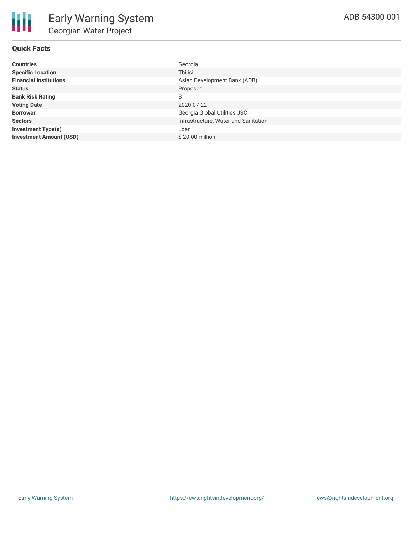# **Quick Facts**

| <b>Countries</b>               | Georgia                              |
|--------------------------------|--------------------------------------|
| <b>Specific Location</b>       | Tbilisi                              |
| <b>Financial Institutions</b>  | Asian Development Bank (ADB)         |
| <b>Status</b>                  | Proposed                             |
| <b>Bank Risk Rating</b>        | B                                    |
| <b>Voting Date</b>             | 2020-07-22                           |
| <b>Borrower</b>                | Georgia Global Utilities JSC         |
| <b>Sectors</b>                 | Infrastructure, Water and Sanitation |
| <b>Investment Type(s)</b>      | Loan                                 |
| <b>Investment Amount (USD)</b> | \$20,00 million                      |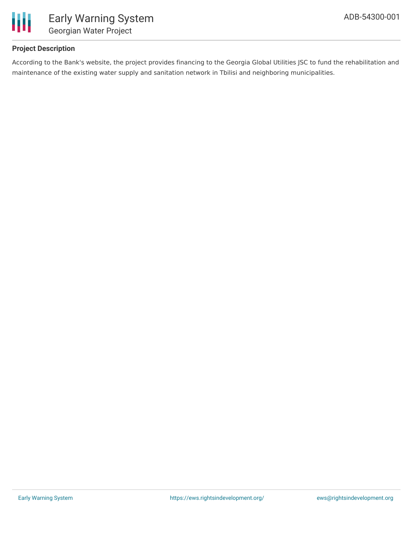

## **Project Description**

According to the Bank's website, the project provides financing to the Georgia Global Utilities JSC to fund the rehabilitation and maintenance of the existing water supply and sanitation network in Tbilisi and neighboring municipalities.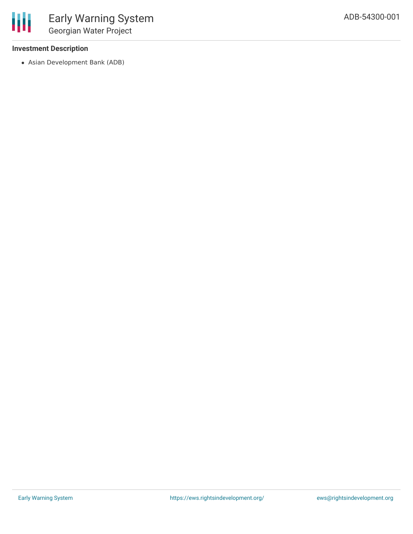#### **Investment Description**

冊

Asian Development Bank (ADB)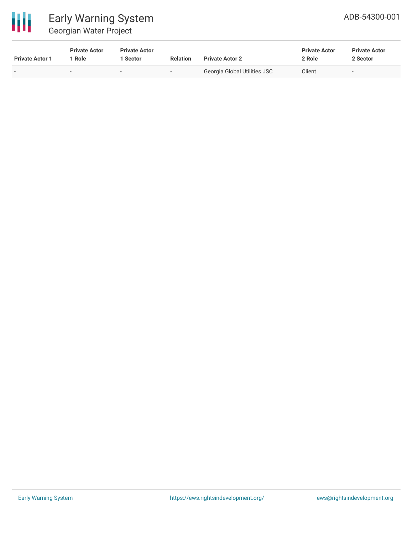

| <b>Private Actor 1</b>   | <b>Private Actor</b><br>1 Role | <b>Private Actor</b><br>1 Sector | <b>Relation</b>          | <b>Private Actor 2</b>       | <b>Private Actor</b><br>2 Role | <b>Private Actor</b><br>2 Sector |
|--------------------------|--------------------------------|----------------------------------|--------------------------|------------------------------|--------------------------------|----------------------------------|
| $\overline{\phantom{0}}$ |                                | . .                              | $\overline{\phantom{a}}$ | Georgia Global Utilities JSC | Client                         | $\overline{\phantom{0}}$         |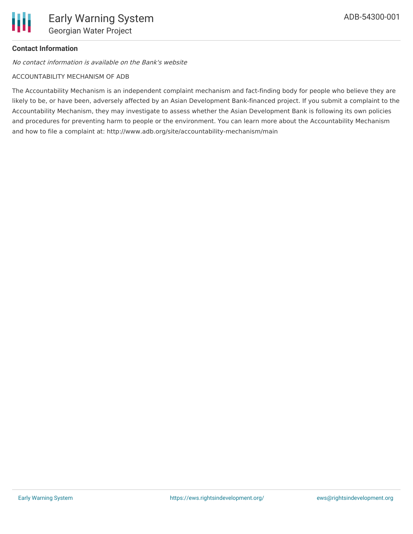## **Contact Information**

No contact information is available on the Bank's website

#### ACCOUNTABILITY MECHANISM OF ADB

The Accountability Mechanism is an independent complaint mechanism and fact-finding body for people who believe they are likely to be, or have been, adversely affected by an Asian Development Bank-financed project. If you submit a complaint to the Accountability Mechanism, they may investigate to assess whether the Asian Development Bank is following its own policies and procedures for preventing harm to people or the environment. You can learn more about the Accountability Mechanism and how to file a complaint at: http://www.adb.org/site/accountability-mechanism/main